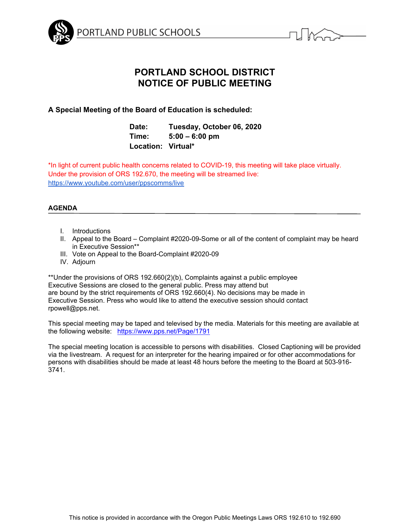



# **PORTLAND SCHOOL DISTRICT NOTICE OF PUBLIC MEETING**

# **A Special Meeting of the Board of Education is scheduled:**

| Date:              | Tuesday, October 06, 2020 |
|--------------------|---------------------------|
| Time:              | $5:00 - 6:00$ pm          |
| Location: Virtual* |                           |

\*In light of current public health concerns related to COVID-19, this meeting will take place virtually. Under the provision of ORS 192.670, the meeting will be streamed live: https://www.youtube.com/user/ppscomms/live

# **AGENDA**

- I. Introductions
- II. Appeal to the Board Complaint #2020-09-Some or all of the content of complaint may be heard in Executive Session\*\*
- III. Vote on Appeal to the Board-Complaint #2020-09
- IV. Adjourn

\*\*Under the provisions of ORS 192.660(2)(b), Complaints against a public employee Executive Sessions are closed to the general public. Press may attend but are bound by the strict requirements of ORS 192.660(4). No decisions may be made in Executive Session. Press who would like to attend the executive session should contact rpowell@pps.net.

This special meeting may be taped and televised by the media. Materials for this meeting are available at the following website: https://www.pps.net/Page/1791

The special meeting location is accessible to persons with disabilities. Closed Captioning will be provided via the livestream. A request for an interpreter for the hearing impaired or for other accommodations for persons with disabilities should be made at least 48 hours before the meeting to the Board at 503-916- 3741.